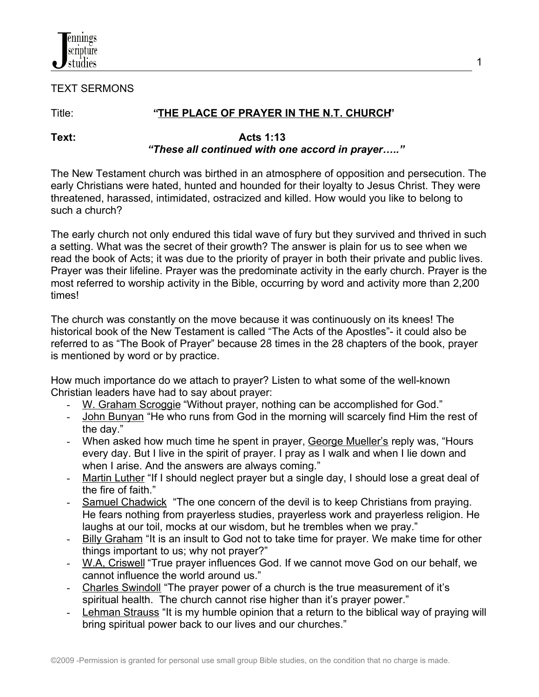

TEXT SERMONS

# Title: **"THE PLACE OF PRAYER IN THE N.T. CHURCH"**

#### **Text: Acts 1:13** *"These all continued with one accord in prayer….."*

The New Testament church was birthed in an atmosphere of opposition and persecution. The early Christians were hated, hunted and hounded for their loyalty to Jesus Christ. They were threatened, harassed, intimidated, ostracized and killed. How would you like to belong to such a church?

The early church not only endured this tidal wave of fury but they survived and thrived in such a setting. What was the secret of their growth? The answer is plain for us to see when we read the book of Acts; it was due to the priority of prayer in both their private and public lives. Prayer was their lifeline. Prayer was the predominate activity in the early church. Prayer is the most referred to worship activity in the Bible, occurring by word and activity more than 2,200 times!

The church was constantly on the move because it was continuously on its knees! The historical book of the New Testament is called "The Acts of the Apostles"- it could also be referred to as "The Book of Prayer" because 28 times in the 28 chapters of the book, prayer is mentioned by word or by practice.

How much importance do we attach to prayer? Listen to what some of the well-known Christian leaders have had to say about prayer:

- W. Graham Scroggie "Without prayer, nothing can be accomplished for God."
- John Bunyan "He who runs from God in the morning will scarcely find Him the rest of the day."
- When asked how much time he spent in prayer, George Mueller's reply was, "Hours every day. But I live in the spirit of prayer. I pray as I walk and when I lie down and when I arise. And the answers are always coming."
- Martin Luther "If I should neglect prayer but a single day, I should lose a great deal of the fire of faith."
- Samuel Chadwick "The one concern of the devil is to keep Christians from praying. He fears nothing from prayerless studies, prayerless work and prayerless religion. He laughs at our toil, mocks at our wisdom, but he trembles when we pray."
- Billy Graham "It is an insult to God not to take time for prayer. We make time for other things important to us; why not prayer?"
- W.A, Criswell "True prayer influences God. If we cannot move God on our behalf, we cannot influence the world around us."
- Charles Swindoll "The prayer power of a church is the true measurement of it's spiritual health. The church cannot rise higher than it's prayer power."
- Lehman Strauss "It is my humble opinion that a return to the biblical way of praying will bring spiritual power back to our lives and our churches."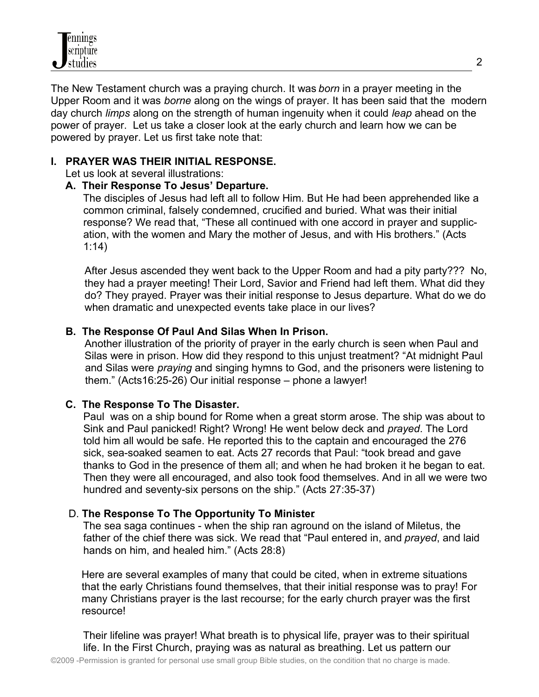The New Testament church was a praying church. It was *born* in a prayer meeting in the Upper Room and it was *borne* along on the wings of prayer. It has been said that the modern day church *limps* along on the strength of human ingenuity when it could *leap* ahead on the power of prayer. Let us take a closer look at the early church and learn how we can be powered by prayer. Let us first take note that:

## **I. PRAYER WAS THEIR INITIAL RESPONSE.**

Let us look at several illustrations:

## **A. Their Response To Jesus' Departure.**

The disciples of Jesus had left all to follow Him. But He had been apprehended like a common criminal, falsely condemned, crucified and buried. What was their initial response? We read that, "These all continued with one accord in prayer and supplic ation, with the women and Mary the mother of Jesus, and with His brothers." (Acts 1:14)

 After Jesus ascended they went back to the Upper Room and had a pity party??? No, they had a prayer meeting! Their Lord, Savior and Friend had left them. What did they do? They prayed. Prayer was their initial response to Jesus departure. What do we do when dramatic and unexpected events take place in our lives?

## **B. The Response Of Paul And Silas When In Prison.**

Another illustration of the priority of prayer in the early church is seen when Paul and Silas were in prison. How did they respond to this unjust treatment? "At midnight Paul and Silas were *praying* and singing hymns to God, and the prisoners were listening to them." (Acts16:25-26) Our initial response – phone a lawyer!

## **C. The Response To The Disaster.**

 Paul was on a ship bound for Rome when a great storm arose. The ship was about to Sink and Paul panicked! Right? Wrong! He went below deck and *prayed*. The Lord told him all would be safe. He reported this to the captain and encouraged the 276 sick, sea-soaked seamen to eat. Acts 27 records that Paul: "took bread and gave thanks to God in the presence of them all; and when he had broken it he began to eat. Then they were all encouraged, and also took food themselves. And in all we were two hundred and seventy-six persons on the ship." (Acts 27:35-37)

## D. **The Response To The Opportunity To Minister**.

 The sea saga continues - when the ship ran aground on the island of Miletus, the father of the chief there was sick. We read that "Paul entered in, and *prayed*, and laid hands on him, and healed him." (Acts 28:8)

Here are several examples of many that could be cited, when in extreme situations that the early Christians found themselves, that their initial response was to pray! For many Christians prayer is the last recourse; for the early church prayer was the first resource!

Their lifeline was prayer! What breath is to physical life, prayer was to their spiritual life. In the First Church, praying was as natural as breathing. Let us pattern our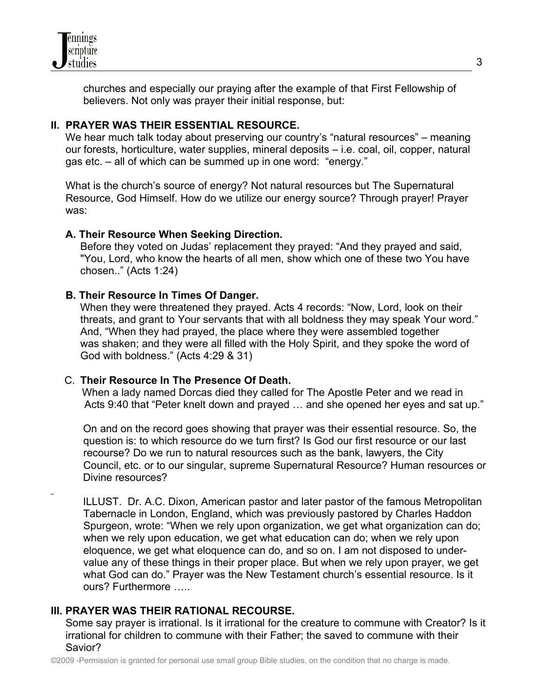

 churches and especially our praying after the example of that First Fellowship of believers. Not only was prayer their initial response, but:

## **II. PRAYER WAS THEIR ESSENTIAL RESOURCE.**

We hear much talk today about preserving our country's "natural resources" – meaning our forests, horticulture, water supplies, mineral deposits – i.e. coal, oil, copper, natural gas etc. – all of which can be summed up in one word: "energy."

 What is the church's source of energy? Not natural resources but The Supernatural Resource, God Himself. How do we utilize our energy source? Through prayer! Prayer was:

## **A. Their Resource When Seeking Direction.**

 Before they voted on Judas' replacement they prayed: "And they prayed and said, "You, Lord, who know the hearts of all men, show which one of these two You have chosen.." (Acts 1:24)

## **B. Their Resource In Times Of Danger.**

When they were threatened they prayed. Acts 4 records: "Now, Lord, look on their threats, and grant to Your servants that with all boldness they may speak Your word." And, "When they had prayed, the place where they were assembled together was shaken; and they were all filled with the Holy Spirit, and they spoke the word of God with boldness." (Acts 4:29 & 31)

## C. **Their Resource In The Presence Of Death.**

When a lady named Dorcas died they called for The Apostle Peter and we read in Acts 9:40 that "Peter knelt down and prayed … and she opened her eyes and sat up."

On and on the record goes showing that prayer was their essential resource. So, the question is: to which resource do we turn first? Is God our first resource or our last recourse? Do we run to natural resources such as the bank, lawyers, the City Council, etc. or to our singular, supreme Supernatural Resource? Human resources or Divine resources?

ILLUST. Dr. A.C. Dixon, American pastor and later pastor of the famous Metropolitan Tabernacle in London, England, which was previously pastored by Charles Haddon Spurgeon, wrote: "When we rely upon organization, we get what organization can do; when we rely upon education, we get what education can do; when we rely upon eloquence, we get what eloquence can do, and so on. I am not disposed to under value any of these things in their proper place. But when we rely upon prayer, we get what God can do." Prayer was the New Testament church's essential resource. Is it ours? Furthermore …..

## **III. PRAYER WAS THEIR RATIONAL RECOURSE.**

 Some say prayer is irrational. Is it irrational for the creature to commune with Creator? Is it irrational for children to commune with their Father; the saved to commune with their Savior?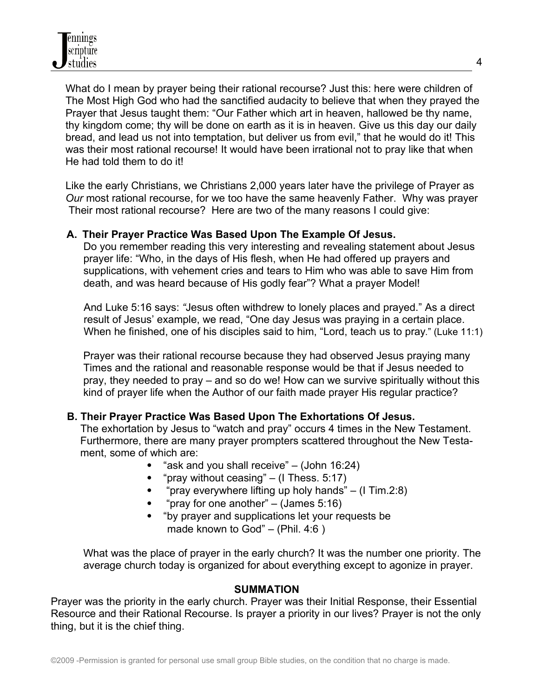What do I mean by prayer being their rational recourse? Just this: here were children of The Most High God who had the sanctified audacity to believe that when they prayed the Prayer that Jesus taught them: "Our Father which art in heaven, hallowed be thy name, thy kingdom come; thy will be done on earth as it is in heaven. Give us this day our daily bread, and lead us not into temptation, but deliver us from evil," that he would do it! This was their most rational recourse! It would have been irrational not to pray like that when He had told them to do it!

 Like the early Christians, we Christians 2,000 years later have the privilege of Prayer as *Our* most rational recourse, for we too have the same heavenly Father. Why was prayer Their most rational recourse? Here are two of the many reasons I could give:

## **A. Their Prayer Practice Was Based Upon The Example Of Jesus.**

 Do you remember reading this very interesting and revealing statement about Jesus prayer life: "Who, in the days of His flesh, when He had offered up prayers and supplications, with vehement cries and tears to Him who was able to save Him from death, and was heard because of His godly fear"? What a prayer Model!

 And Luke 5:16 says: *"*Jesus often withdrew to lonely places and prayed." As a direct result of Jesus' example, we read, "One day Jesus was praying in a certain place. When he finished, one of his disciples said to him, "Lord, teach us to pray." (Luke 11:1)

 Prayer was their rational recourse because they had observed Jesus praying many Times and the rational and reasonable response would be that if Jesus needed to pray, they needed to pray – and so do we! How can we survive spiritually without this kind of prayer life when the Author of our faith made prayer His regular practice?

## **B. Their Prayer Practice Was Based Upon The Exhortations Of Jesus.**

 The exhortation by Jesus to "watch and pray" occurs 4 times in the New Testament. Furthermore, there are many prayer prompters scattered throughout the New Testa ment, some of which are:

- "ask and you shall receive"  $-$  (John 16:24)
- "pray without ceasing"  $-$  (I Thess. 5:17)
- "pray everywhere lifting up holy hands"  $-$  (1 Tim.2:8)
- "pray for one another" (James 5:16)
- "by prayer and supplications let your requests be made known to God" – (Phil. 4:6 )

 What was the place of prayer in the early church? It was the number one priority. The average church today is organized for about everything except to agonize in prayer.

#### **SUMMATION**

Prayer was the priority in the early church. Prayer was their Initial Response, their Essential Resource and their Rational Recourse. Is prayer a priority in our lives? Prayer is not the only thing, but it is the chief thing.